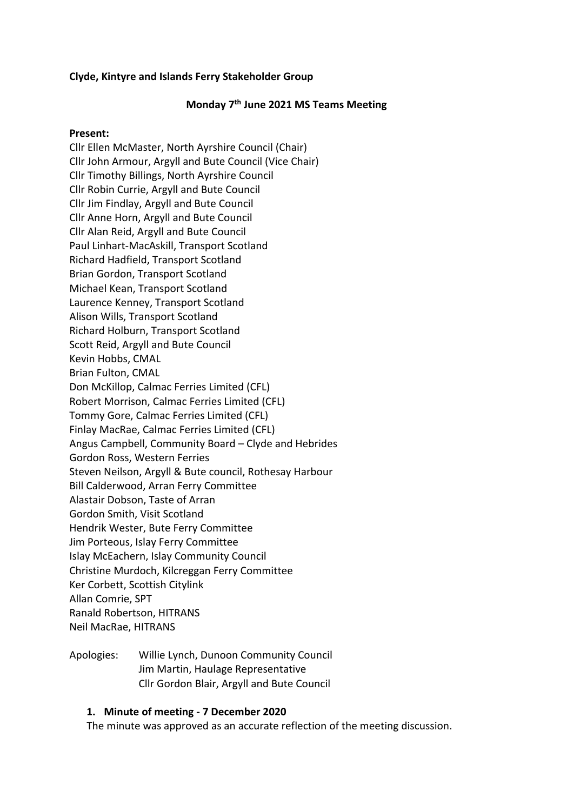### **Clyde, Kintyre and Islands Ferry Stakeholder Group**

### **Monday 7th June 2021 MS Teams Meeting**

#### **Present:**

Cllr Ellen McMaster, North Ayrshire Council (Chair) Cllr John Armour, Argyll and Bute Council (Vice Chair) Cllr Timothy Billings, North Ayrshire Council Cllr Robin Currie, Argyll and Bute Council Cllr Jim Findlay, Argyll and Bute Council Cllr Anne Horn, Argyll and Bute Council Cllr Alan Reid, Argyll and Bute Council Paul Linhart-MacAskill, Transport Scotland Richard Hadfield, Transport Scotland Brian Gordon, Transport Scotland Michael Kean, Transport Scotland Laurence Kenney, Transport Scotland Alison Wills, Transport Scotland Richard Holburn, Transport Scotland Scott Reid, Argyll and Bute Council Kevin Hobbs, CMAL Brian Fulton, CMAL Don McKillop, Calmac Ferries Limited (CFL) Robert Morrison, Calmac Ferries Limited (CFL) Tommy Gore, Calmac Ferries Limited (CFL) Finlay MacRae, Calmac Ferries Limited (CFL) Angus Campbell, Community Board – Clyde and Hebrides Gordon Ross, Western Ferries Steven Neilson, Argyll & Bute council, Rothesay Harbour Bill Calderwood, Arran Ferry Committee Alastair Dobson, Taste of Arran Gordon Smith, Visit Scotland Hendrik Wester, Bute Ferry Committee Jim Porteous, Islay Ferry Committee Islay McEachern, Islay Community Council Christine Murdoch, Kilcreggan Ferry Committee Ker Corbett, Scottish Citylink Allan Comrie, SPT Ranald Robertson, HITRANS Neil MacRae, HITRANS

Apologies: Willie Lynch, Dunoon Community Council Jim Martin, Haulage Representative Cllr Gordon Blair, Argyll and Bute Council

#### **1. Minute of meeting - 7 December 2020**

The minute was approved as an accurate reflection of the meeting discussion.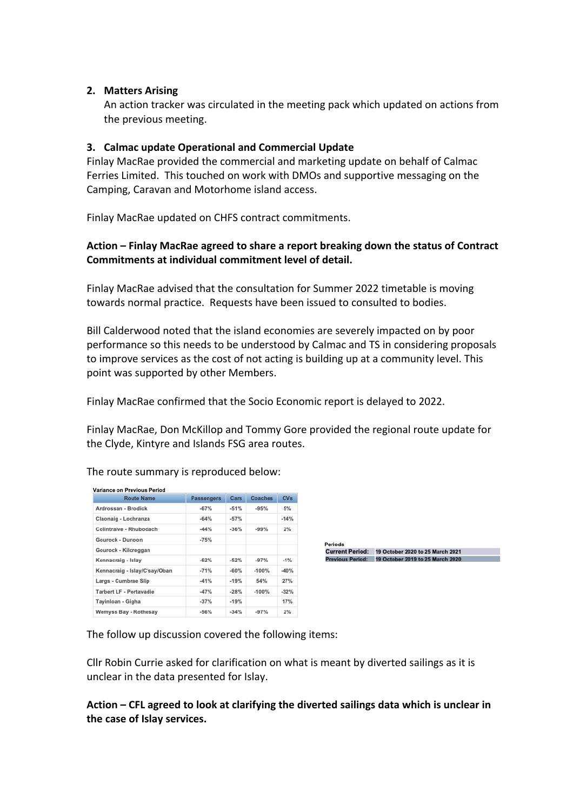### **2. Matters Arising**

An action tracker was circulated in the meeting pack which updated on actions from the previous meeting.

### **3. Calmac update Operational and Commercial Update**

Finlay MacRae provided the commercial and marketing update on behalf of Calmac Ferries Limited. This touched on work with DMOs and supportive messaging on the Camping, Caravan and Motorhome island access.

Finlay MacRae updated on CHFS contract commitments.

### **Action – Finlay MacRae agreed to share a report breaking down the status of Contract Commitments at individual commitment level of detail.**

Finlay MacRae advised that the consultation for Summer 2022 timetable is moving towards normal practice. Requests have been issued to consulted to bodies.

Bill Calderwood noted that the island economies are severely impacted on by poor performance so this needs to be understood by Calmac and TS in considering proposals to improve services as the cost of not acting is building up at a community level. This point was supported by other Members.

Finlay MacRae confirmed that the Socio Economic report is delayed to 2022.

Finlay MacRae, Don McKillop and Tommy Gore provided the regional route update for the Clyde, Kintyre and Islands FSG area routes.

| Variance on Previous Period   |                   |        |         |        |
|-------------------------------|-------------------|--------|---------|--------|
| <b>Route Name</b>             | <b>Passengers</b> | Cars   | Coaches | CVs    |
| Ardrossan - Brodick           | $-67%$            | $-51%$ | $-95%$  | 5%     |
| Claonaig - Lochranza          | $-64%$            | $-57%$ |         | $-14%$ |
| Colintraive - Rhubodach       | $-44%$            | $-36%$ | $-99%$  | 2%     |
| Gourock - Dunoon              | $-75%$            |        |         |        |
| Gourock - Kilcreggan          |                   |        |         |        |
| Kennacraig - Islay            | $-62%$            | $-52%$ | $-97%$  | $-1%$  |
| Kennacraig - Islay/C'say/Oban | $-71%$            | $-60%$ | $-100%$ | $-40%$ |
| Largs - Cumbrae Slip          | $-41%$            | $-19%$ | 54%     | 27%    |
| Tarbert LF - Portavadie       | $-47%$            | $-28%$ | $-100%$ | $-32%$ |
| Tayinloan - Gigha             | $-37%$            | $-19%$ |         | 17%    |
| Wemyss Bay - Rothesay         | $-56%$            | $-34%$ | $-97%$  | 2%     |

Periods Current Period: 19 October 2020 to 25 March 2021<br>Previous Period: 19 October 2019 to 25 March 2020

The follow up discussion covered the following items:

Cllr Robin Currie asked for clarification on what is meant by diverted sailings as it is unclear in the data presented for Islay.

**Action – CFL agreed to look at clarifying the diverted sailings data which is unclear in the case of Islay services.**

The route summary is reproduced below: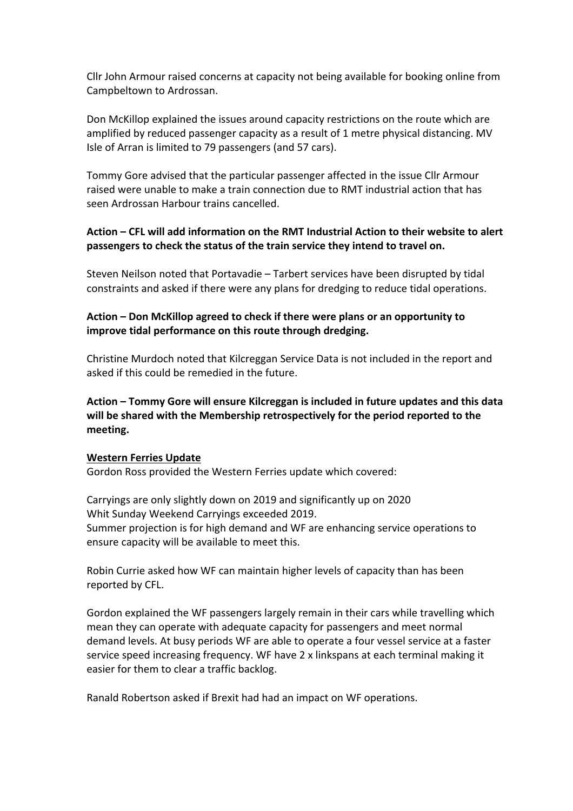Cllr John Armour raised concerns at capacity not being available for booking online from Campbeltown to Ardrossan.

Don McKillop explained the issues around capacity restrictions on the route which are amplified by reduced passenger capacity as a result of 1 metre physical distancing. MV Isle of Arran is limited to 79 passengers (and 57 cars).

Tommy Gore advised that the particular passenger affected in the issue Cllr Armour raised were unable to make a train connection due to RMT industrial action that has seen Ardrossan Harbour trains cancelled.

# **Action – CFL will add information on the RMT Industrial Action to their website to alert passengers to check the status of the train service they intend to travel on.**

Steven Neilson noted that Portavadie – Tarbert services have been disrupted by tidal constraints and asked if there were any plans for dredging to reduce tidal operations.

## **Action – Don McKillop agreed to check if there were plans or an opportunity to improve tidal performance on this route through dredging.**

Christine Murdoch noted that Kilcreggan Service Data is not included in the report and asked if this could be remedied in the future.

**Action – Tommy Gore will ensure Kilcreggan is included in future updates and this data will be shared with the Membership retrospectively for the period reported to the meeting.**

### **Western Ferries Update**

Gordon Ross provided the Western Ferries update which covered:

Carryings are only slightly down on 2019 and significantly up on 2020 Whit Sunday Weekend Carryings exceeded 2019. Summer projection is for high demand and WF are enhancing service operations to ensure capacity will be available to meet this.

Robin Currie asked how WF can maintain higher levels of capacity than has been reported by CFL.

Gordon explained the WF passengers largely remain in their cars while travelling which mean they can operate with adequate capacity for passengers and meet normal demand levels. At busy periods WF are able to operate a four vessel service at a faster service speed increasing frequency. WF have 2 x linkspans at each terminal making it easier for them to clear a traffic backlog.

Ranald Robertson asked if Brexit had had an impact on WF operations.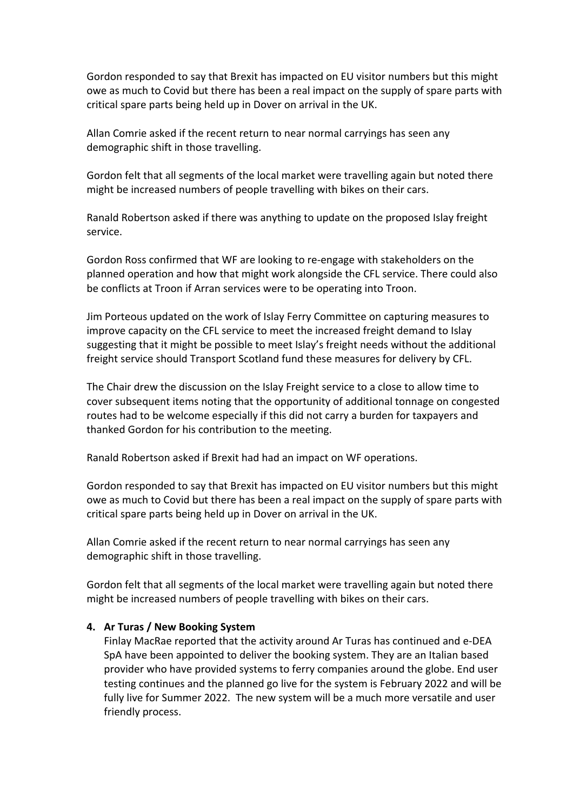Gordon responded to say that Brexit has impacted on EU visitor numbers but this might owe as much to Covid but there has been a real impact on the supply of spare parts with critical spare parts being held up in Dover on arrival in the UK.

Allan Comrie asked if the recent return to near normal carryings has seen any demographic shift in those travelling.

Gordon felt that all segments of the local market were travelling again but noted there might be increased numbers of people travelling with bikes on their cars.

Ranald Robertson asked if there was anything to update on the proposed Islay freight service.

Gordon Ross confirmed that WF are looking to re-engage with stakeholders on the planned operation and how that might work alongside the CFL service. There could also be conflicts at Troon if Arran services were to be operating into Troon.

Jim Porteous updated on the work of Islay Ferry Committee on capturing measures to improve capacity on the CFL service to meet the increased freight demand to Islay suggesting that it might be possible to meet Islay's freight needs without the additional freight service should Transport Scotland fund these measures for delivery by CFL.

The Chair drew the discussion on the Islay Freight service to a close to allow time to cover subsequent items noting that the opportunity of additional tonnage on congested routes had to be welcome especially if this did not carry a burden for taxpayers and thanked Gordon for his contribution to the meeting.

Ranald Robertson asked if Brexit had had an impact on WF operations.

Gordon responded to say that Brexit has impacted on EU visitor numbers but this might owe as much to Covid but there has been a real impact on the supply of spare parts with critical spare parts being held up in Dover on arrival in the UK.

Allan Comrie asked if the recent return to near normal carryings has seen any demographic shift in those travelling.

Gordon felt that all segments of the local market were travelling again but noted there might be increased numbers of people travelling with bikes on their cars.

### **4. Ar Turas / New Booking System**

Finlay MacRae reported that the activity around Ar Turas has continued and e-DEA SpA have been appointed to deliver the booking system. They are an Italian based provider who have provided systems to ferry companies around the globe. End user testing continues and the planned go live for the system is February 2022 and will be fully live for Summer 2022. The new system will be a much more versatile and user friendly process.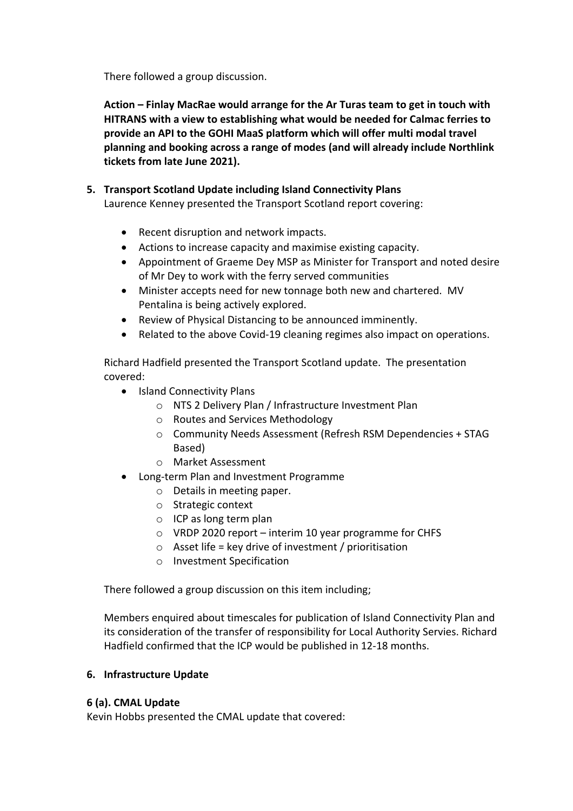There followed a group discussion.

**Action – Finlay MacRae would arrange for the Ar Turas team to get in touch with HITRANS with a view to establishing what would be needed for Calmac ferries to provide an API to the GOHI MaaS platform which will offer multi modal travel planning and booking across a range of modes (and will already include Northlink tickets from late June 2021).**

## **5. Transport Scotland Update including Island Connectivity Plans**

Laurence Kenney presented the Transport Scotland report covering:

- Recent disruption and network impacts.
- Actions to increase capacity and maximise existing capacity.
- Appointment of Graeme Dey MSP as Minister for Transport and noted desire of Mr Dey to work with the ferry served communities
- Minister accepts need for new tonnage both new and chartered. MV Pentalina is being actively explored.
- Review of Physical Distancing to be announced imminently.
- Related to the above Covid-19 cleaning regimes also impact on operations.

Richard Hadfield presented the Transport Scotland update. The presentation covered:

- Island Connectivity Plans
	- o NTS 2 Delivery Plan / Infrastructure Investment Plan
	- o Routes and Services Methodology
	- o Community Needs Assessment (Refresh RSM Dependencies + STAG Based)
	- o Market Assessment
- Long-term Plan and Investment Programme
	- o Details in meeting paper.
	- o Strategic context
	- o ICP as long term plan
	- o VRDP 2020 report interim 10 year programme for CHFS
	- $\circ$  Asset life = key drive of investment / prioritisation
	- o Investment Specification

There followed a group discussion on this item including;

Members enquired about timescales for publication of Island Connectivity Plan and its consideration of the transfer of responsibility for Local Authority Servies. Richard Hadfield confirmed that the ICP would be published in 12-18 months.

### **6. Infrastructure Update**

### **6 (a). CMAL Update**

Kevin Hobbs presented the CMAL update that covered: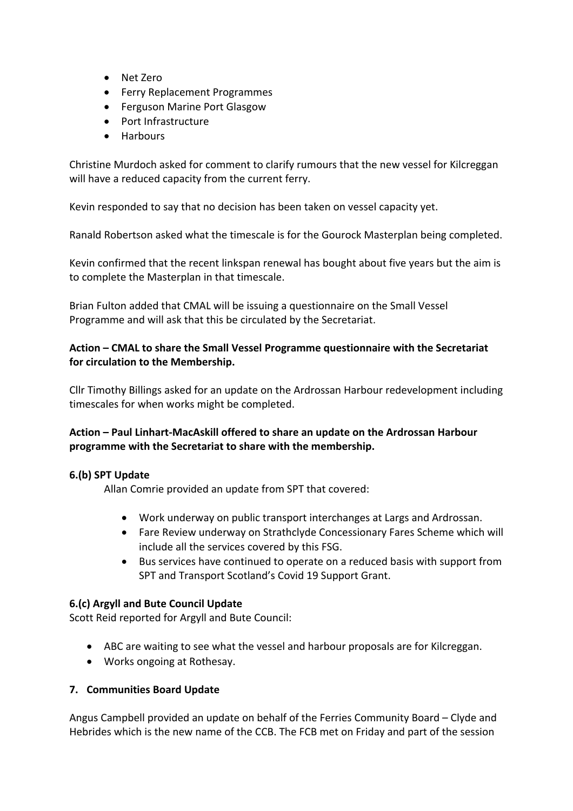- Net Zero
- Ferry Replacement Programmes
- Ferguson Marine Port Glasgow
- Port Infrastructure
- Harbours

Christine Murdoch asked for comment to clarify rumours that the new vessel for Kilcreggan will have a reduced capacity from the current ferry.

Kevin responded to say that no decision has been taken on vessel capacity yet.

Ranald Robertson asked what the timescale is for the Gourock Masterplan being completed.

Kevin confirmed that the recent linkspan renewal has bought about five years but the aim is to complete the Masterplan in that timescale.

Brian Fulton added that CMAL will be issuing a questionnaire on the Small Vessel Programme and will ask that this be circulated by the Secretariat.

### **Action – CMAL to share the Small Vessel Programme questionnaire with the Secretariat for circulation to the Membership.**

Cllr Timothy Billings asked for an update on the Ardrossan Harbour redevelopment including timescales for when works might be completed.

### **Action – Paul Linhart-MacAskill offered to share an update on the Ardrossan Harbour programme with the Secretariat to share with the membership.**

### **6.(b) SPT Update**

Allan Comrie provided an update from SPT that covered:

- Work underway on public transport interchanges at Largs and Ardrossan.
- Fare Review underway on Strathclyde Concessionary Fares Scheme which will include all the services covered by this FSG.
- Bus services have continued to operate on a reduced basis with support from SPT and Transport Scotland's Covid 19 Support Grant.

### **6.(c) Argyll and Bute Council Update**

Scott Reid reported for Argyll and Bute Council:

- ABC are waiting to see what the vessel and harbour proposals are for Kilcreggan.
- Works ongoing at Rothesay.

### **7. Communities Board Update**

Angus Campbell provided an update on behalf of the Ferries Community Board – Clyde and Hebrides which is the new name of the CCB. The FCB met on Friday and part of the session